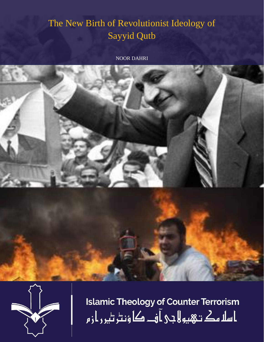## The New Birth of Revolutionist Ideology of Sayyid Qutb

NOOR DAHRI





**Islamic Theology of Counter Terrorism** ا سلا مك تـهيو لا جي آ فــ کا ؤنٹر ٹير ر از م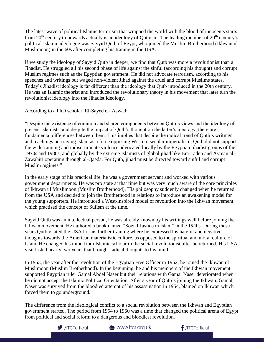The latest wave of political Islamic terrorism that wrapped the world with the blood of innocents starts from  $20<sup>th</sup>$  century to onwards actually is an ideology of Qutbism. The leading member of  $20<sup>th</sup>$  century's political Islamic ideologue was Sayyid Qutb of Egypt, who joined the Muslim Brotherhood (Ikhwan ul Muslimoon) in the 60s after completing his traning in the USA.

If we study the ideology of Sayyid Qutb in deeper, we find that Qutb was more a revolutionist than a Jihadist. He struggled all his second phase of life against the sinful (according his thought) and corrupt Muslim regimes such as the Egyptian government. He did not advocate terrorism, according to his speeches and writings but waged non-violent Jihad against the cruel and corrupt Muslims states. Today's Jihadist ideology is far different than the ideology that Qutb introduced in the 20th century. He was an Islamic theorist and introduced the revolutionary theory in his movement that later turn the revolutionist ideology into the Jihadist ideology.

According to a PhD scholar, El-Sayed el- Aswad:

"Despite the existence of common and shared components between Qutb's views and the ideology of present Islamists, and despite the impact of Qutb's thought on the latter's ideology, there are fundamental differences between them. This implies that despite the radical trend of Qutb's writings and teachings portraying Islam as a force opposing Western secular imperialism, Qutb did not support the wide-ranging and indiscriminate violence advocated locally by the Egyptian jihadist groups of the 1970s and 1980s, and globally by the extreme Islamists of global jihad like Bin Laden and Ayman al-Zawahiri operating through al-Qaeda. For Qutb, jihad must be directed toward sinful and corrupt Muslim regimes."

In the early stage of his practical life, he was a government servant and worked with various government departments. He was pro state at that time but was very much aware of the core principles of Ikhwan ul Muslimoon (Muslim Brotherhood). His philosophy suddenly changed when he returned from the USA and decided to join the Brotherhood in relations to introduce an awakening model for the young supporters. He introduced a West-inspired model of revolution into the Ikhwan movement which practised the concept of Sufism at the time.

Sayyid Qutb was an intellectual person, he was already known by his writings well before joining the Ikhwan movement. He authored a book named "Social Justice in Islam" in the 1940s. During these years Qutb visited the USA for his further training where he expressed his hateful and negative thoughts towards the American materialistic culture, as opposed to the spiritual and moral culture of Islam. He changed his mind from Islamic scholar to the social revolutionist after he returned. His USA visit lasted nearly two years that brought radical thoughts to his mind.

In 1953, the year after the revolution of the Egyptian Free Officer in 1952, he joined the Ikhwan ul Muslimoon (Muslim Brotherhood). In the beginning, he and his members of the Ikhwan movement supported Egyptian ruler Gamal Abdel Naser but their relations with Gamal Naser deteriorated when he did not accept the Islamic Political Orientation. After a year of Qutb's joining the Ikhwan, Gamal Naser was survived from the bloodied attempt of his assassination in 1954, blamed on Ikhwan which forced them to go underground.

The difference from the ideological conflict to a social revolution between the Ikhwan and Egyptian government started. The period from 1954 to 1960 was a time that changed the political arena of Egypt from political and social reform to a dangerous and bloodiest revolution.



**<sup>4</sup>** www.itct.org.uk